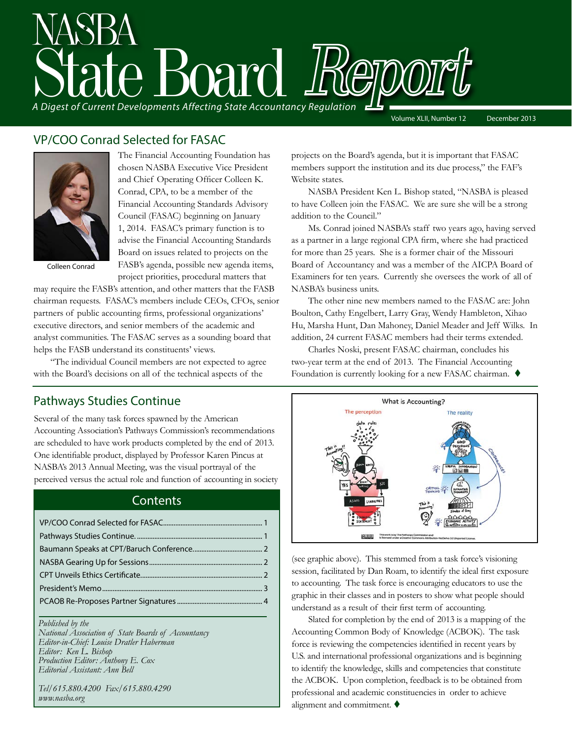

### VP/COO Conrad Selected for FASAC



The Financial Accounting Foundation has chosen NASBA Executive Vice President and Chief Operating Officer Colleen K. Conrad, CPA, to be a member of the Financial Accounting Standards Advisory Council (FASAC) beginning on January 1, 2014. FASAC's primary function is to advise the Financial Accounting Standards Board on issues related to projects on the FASB's agenda, possible new agenda items, project priorities, procedural matters that

Colleen Conrad

may require the FASB's attention, and other matters that the FASB chairman requests. FASAC's members include CEOs, CFOs, senior partners of public accounting firms, professional organizations' executive directors, and senior members of the academic and analyst communities. The FASAC serves as a sounding board that helps the FASB understand its constituents' views.

"The individual Council members are not expected to agree with the Board's decisions on all of the technical aspects of the

projects on the Board's agenda, but it is important that FASAC members support the institution and its due process," the FAF's Website states.

NASBA President Ken L. Bishop stated, "NASBA is pleased to have Colleen join the FASAC. We are sure she will be a strong addition to the Council."

Ms. Conrad joined NASBA's staff two years ago, having served as a partner in a large regional CPA firm, where she had practiced for more than 25 years. She is a former chair of the Missouri Board of Accountancy and was a member of the AICPA Board of Examiners for ten years. Currently she oversees the work of all of NASBA's business units.

The other nine new members named to the FASAC are: John Boulton, Cathy Engelbert, Larry Gray, Wendy Hambleton, Xihao Hu, Marsha Hunt, Dan Mahoney, Daniel Meader and Jeff Wilks. In addition, 24 current FASAC members had their terms extended.

Charles Noski, present FASAC chairman, concludes his two-year term at the end of 2013. The Financial Accounting Foundation is currently looking for a new FASAC chairman.  $\blacklozenge$ 

#### Pathways Studies Continue

Several of the many task forces spawned by the American Accounting Association's Pathways Commission's recommendations are scheduled to have work products completed by the end of 2013. One identifiable product, displayed by Professor Karen Pincus at NASBA's 2013 Annual Meeting, was the visual portrayal of the perceived versus the actual role and function of accounting in society

### **Contents**

#### *Published by the*

*National Association of State Boards of Accountancy Editor-in-Chief: Louise Dratler Haberman Editor: Ken L. Bishop Production Editor: Anthony E. Cox Editorial Assistant: Ann Bell* 

*Tel/615.880.4200 Fax/615.880.4290 www.nasba.org*



(see graphic above). This stemmed from a task force's visioning session, facilitated by Dan Roam, to identify the ideal first exposure to accounting. The task force is encouraging educators to use the graphic in their classes and in posters to show what people should understand as a result of their first term of accounting.

Slated for completion by the end of 2013 is a mapping of the Accounting Common Body of Knowledge (ACBOK). The task force is reviewing the competencies identified in recent years by U.S. and international professional organizations and is beginning to identify the knowledge, skills and competencies that constitute the ACBOK. Upon completion, feedback is to be obtained from professional and academic constituencies in order to achieve alignment and commitment.  $\blacklozenge$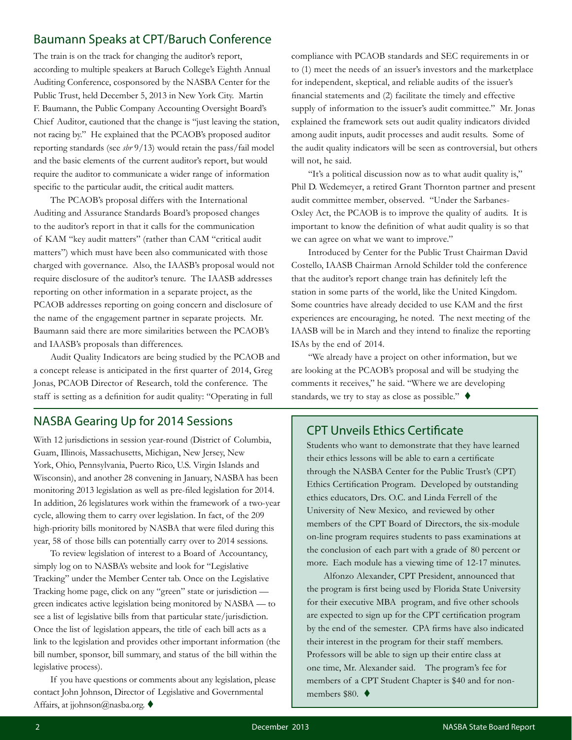### <span id="page-1-0"></span>Baumann Speaks at CPT/Baruch Conference

The train is on the track for changing the auditor's report, according to multiple speakers at Baruch College's Eighth Annual Auditing Conference, cosponsored by the NASBA Center for the Public Trust, held December 5, 2013 in New York City. Martin F. Baumann, the Public Company Accounting Oversight Board's Chief Auditor, cautioned that the change is "just leaving the station, not racing by." He explained that the PCAOB's proposed auditor reporting standards (see *sbr* 9/13) would retain the pass/fail model and the basic elements of the current auditor's report, but would require the auditor to communicate a wider range of information specific to the particular audit, the critical audit matters.

The PCAOB's proposal differs with the International Auditing and Assurance Standards Board's proposed changes to the auditor's report in that it calls for the communication of KAM "key audit matters" (rather than CAM "critical audit matters") which must have been also communicated with those charged with governance. Also, the IAASB's proposal would not require disclosure of the auditor's tenure. The IAASB addresses reporting on other information in a separate project, as the PCAOB addresses reporting on going concern and disclosure of the name of the engagement partner in separate projects. Mr. Baumann said there are more similarities between the PCAOB's and IAASB's proposals than differences.

Audit Quality Indicators are being studied by the PCAOB and a concept release is anticipated in the first quarter of 2014, Greg Jonas, PCAOB Director of Research, told the conference. The staff is setting as a definition for audit quality: "Operating in full

#### NASBA Gearing Up for 2014 Sessions

With 12 jurisdictions in session year-round (District of Columbia, Guam, Illinois, Massachusetts, Michigan, New Jersey, New York, Ohio, Pennsylvania, Puerto Rico, U.S. Virgin Islands and Wisconsin), and another 28 convening in January, NASBA has been monitoring 2013 legislation as well as pre-filed legislation for 2014. In addition, 26 legislatures work within the framework of a two-year cycle, allowing them to carry over legislation. In fact, of the 209 high-priority bills monitored by NASBA that were filed during this year, 58 of those bills can potentially carry over to 2014 sessions.

To review legislation of interest to a Board of Accountancy, simply log on to NASBA's website and look for "Legislative Tracking" under the Member Center tab. Once on the Legislative Tracking home page, click on any "green" state or jurisdiction green indicates active legislation being monitored by NASBA — to see a list of legislative bills from that particular state/jurisdiction. Once the list of legislation appears, the title of each bill acts as a link to the legislation and provides other important information (the bill number, sponsor, bill summary, and status of the bill within the legislative process).

If you have questions or comments about any legislation, please contact John Johnson, Director of Legislative and Governmental Affairs, at jjohnson@nasba.org.  $\blacklozenge$ 

compliance with PCAOB standards and SEC requirements in or to (1) meet the needs of an issuer's investors and the marketplace for independent, skeptical, and reliable audits of the issuer's financial statements and (2) facilitate the timely and effective supply of information to the issuer's audit committee." Mr. Jonas explained the framework sets out audit quality indicators divided among audit inputs, audit processes and audit results. Some of the audit quality indicators will be seen as controversial, but others will not, he said.

"It's a political discussion now as to what audit quality is," Phil D. Wedemeyer, a retired Grant Thornton partner and present audit committee member, observed. "Under the Sarbanes-Oxley Act, the PCAOB is to improve the quality of audits. It is important to know the definition of what audit quality is so that we can agree on what we want to improve."

Introduced by Center for the Public Trust Chairman David Costello, IAASB Chairman Arnold Schilder told the conference that the auditor's report change train has definitely left the station in some parts of the world, like the United Kingdom. Some countries have already decided to use KAM and the first experiences are encouraging, he noted. The next meeting of the IAASB will be in March and they intend to finalize the reporting ISAs by the end of 2014.

"We already have a project on other information, but we are looking at the PCAOB's proposal and will be studying the comments it receives," he said. "Where we are developing standards, we try to stay as close as possible."  $\blacklozenge$ 

#### CPT Unveils Ethics Certificate

Students who want to demonstrate that they have learned their ethics lessons will be able to earn a certificate through the NASBA Center for the Public Trust's (CPT) Ethics Certification Program. Developed by outstanding ethics educators, Drs. O.C. and Linda Ferrell of the University of New Mexico, and reviewed by other members of the CPT Board of Directors, the six-module on-line program requires students to pass examinations at the conclusion of each part with a grade of 80 percent or more. Each module has a viewing time of 12-17 minutes.

Alfonzo Alexander, CPT President, announced that the program is first being used by Florida State University for their executive MBA program, and five other schools are expected to sign up for the CPT certification program by the end of the semester. CPA firms have also indicated their interest in the program for their staff members. Professors will be able to sign up their entire class at one time, Mr. Alexander said. The program's fee for members of a CPT Student Chapter is \$40 and for nonmembers \$80.  $\blacklozenge$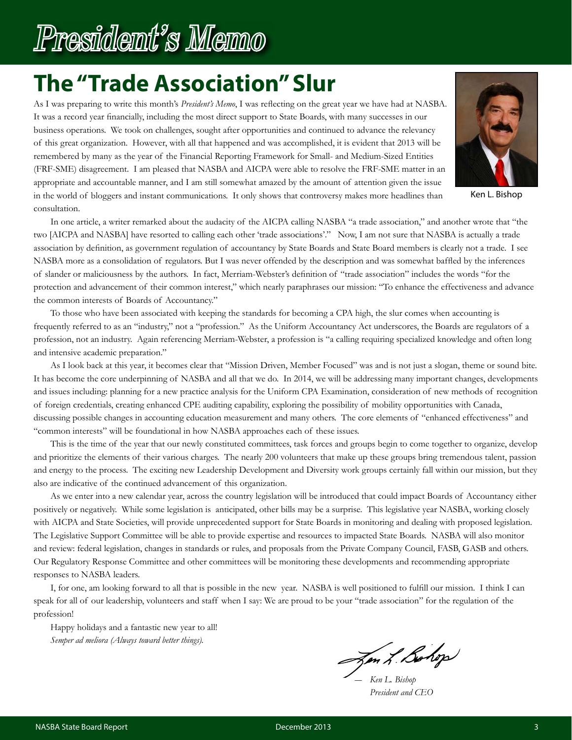# **The "Trade Association" Slur**

As I was preparing to write this month's *President's Memo*, I was reflecting on the great year we have had at NASBA. It was a record year financially, including the most direct support to State Boards, with many successes in our business operations. We took on challenges, sought after opportunities and continued to advance the relevancy of this great organization. However, with all that happened and was accomplished, it is evident that 2013 will be remembered by many as the year of the Financial Reporting Framework for Small- and Medium-Sized Entities (FRF-SME) disagreement. I am pleased that NASBA and AICPA were able to resolve the FRF-SME matter in an appropriate and accountable manner, and I am still somewhat amazed by the amount of attention given the issue in the world of bloggers and instant communications. It only shows that controversy makes more headlines than consultation.



Ken L. Bishop

In one article, a writer remarked about the audacity of the AICPA calling NASBA "a trade association," and another wrote that "the two [AICPA and NASBA] have resorted to calling each other 'trade associations'." Now, I am not sure that NASBA is actually a trade association by definition, as government regulation of accountancy by State Boards and State Board members is clearly not a trade. I see NASBA more as a consolidation of regulators. But I was never offended by the description and was somewhat baffled by the inferences of slander or maliciousness by the authors. In fact, Merriam-Webster's definition of "trade association" includes the words "for the protection and advancement of their common interest," which nearly paraphrases our mission: "To enhance the effectiveness and advance the common interests of Boards of Accountancy."

To those who have been associated with keeping the standards for becoming a CPA high, the slur comes when accounting is frequently referred to as an "industry," not a "profession." As the Uniform Accountancy Act underscores, the Boards are regulators of a profession, not an industry. Again referencing Merriam-Webster, a profession is "a calling requiring specialized knowledge and often long and intensive academic preparation."

As I look back at this year, it becomes clear that "Mission Driven, Member Focused" was and is not just a slogan, theme or sound bite. It has become the core underpinning of NASBA and all that we do. In 2014, we will be addressing many important changes, developments and issues including: planning for a new practice analysis for the Uniform CPA Examination, consideration of new methods of recognition of foreign credentials, creating enhanced CPE auditing capability, exploring the possibility of mobility opportunities with Canada, discussing possible changes in accounting education measurement and many others. The core elements of "enhanced effectiveness" and "common interests" will be foundational in how NASBA approaches each of these issues.

This is the time of the year that our newly constituted committees, task forces and groups begin to come together to organize, develop and prioritize the elements of their various charges. The nearly 200 volunteers that make up these groups bring tremendous talent, passion and energy to the process. The exciting new Leadership Development and Diversity work groups certainly fall within our mission, but they also are indicative of the continued advancement of this organization.

As we enter into a new calendar year, across the country legislation will be introduced that could impact Boards of Accountancy either positively or negatively. While some legislation is anticipated, other bills may be a surprise. This legislative year NASBA, working closely with AICPA and State Societies, will provide unprecedented support for State Boards in monitoring and dealing with proposed legislation. The Legislative Support Committee will be able to provide expertise and resources to impacted State Boards. NASBA will also monitor and review: federal legislation, changes in standards or rules, and proposals from the Private Company Council, FASB, GASB and others. Our Regulatory Response Committee and other committees will be monitoring these developments and recommending appropriate responses to NASBA leaders.

I, for one, am looking forward to all that is possible in the new year. NASBA is well positioned to fulfill our mission. I think I can speak for all of our leadership, volunteers and staff when I say: We are proud to be your "trade association" for the regulation of the profession!

Happy holidays and a fantastic new year to all! *Semper ad meliora (Always toward better things).*

Jen L. Bolop

 *― Ken L. Bishop President and CEO*